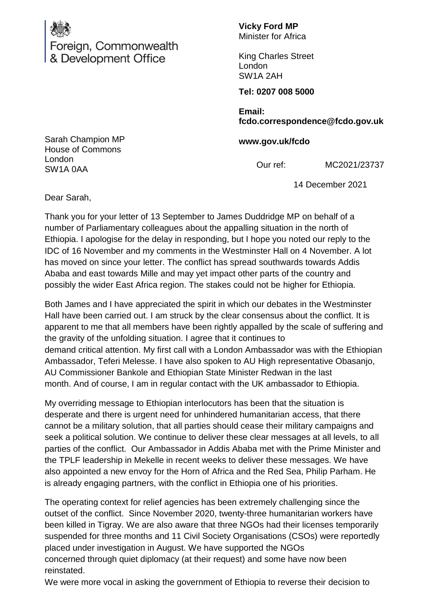

Foreign, Commonwealth & Development Office

**Vicky Ford MP** Minister for Africa

King Charles Street London SW1A 2AH

**Tel: 0207 008 5000**

**Email: fcdo.correspondence@fcdo.gov.uk**

**www.gov.uk/fcdo**

Our ref: MC2021/23737

14 December 2021

Sarah Champion MP House of Commons London SW1A 0AA

Dear Sarah,

Thank you for your letter of 13 September to James Duddridge MP on behalf of a number of Parliamentary colleagues about the appalling situation in the north of Ethiopia. I apologise for the delay in responding, but I hope you noted our reply to the IDC of 16 November and my comments in the Westminster Hall on 4 November. A lot has moved on since your letter. The conflict has spread southwards towards Addis Ababa and east towards Mille and may yet impact other parts of the country and possibly the wider East Africa region. The stakes could not be higher for Ethiopia.

Both James and I have appreciated the spirit in which our debates in the Westminster Hall have been carried out. I am struck by the clear consensus about the conflict. It is apparent to me that all members have been rightly appalled by the scale of suffering and the gravity of the unfolding situation. I agree that it continues to demand critical attention. My first call with a London Ambassador was with the Ethiopian Ambassador, Teferi Melesse. I have also spoken to AU High representative Obasanjo, AU Commissioner Bankole and Ethiopian State Minister Redwan in the last month. And of course, I am in regular contact with the UK ambassador to Ethiopia.

My overriding message to Ethiopian interlocutors has been that the situation is desperate and there is urgent need for unhindered humanitarian access, that there cannot be a military solution, that all parties should cease their military campaigns and seek a political solution. We continue to deliver these clear messages at all levels, to all parties of the conflict. Our Ambassador in Addis Ababa met with the Prime Minister and the TPLF leadership in Mekelle in recent weeks to deliver these messages. We have also appointed a new envoy for the Horn of Africa and the Red Sea, Philip Parham. He is already engaging partners, with the conflict in Ethiopia one of his priorities.

The operating context for relief agencies has been extremely challenging since the outset of the conflict. Since November 2020, twenty-three humanitarian workers have been killed in Tigray. We are also aware that three NGOs had their licenses temporarily suspended for three months and 11 Civil Society Organisations (CSOs) were reportedly placed under investigation in August. We have supported the NGOs concerned through quiet diplomacy (at their request) and some have now been reinstated.

We were more vocal in asking the government of Ethiopia to reverse their decision to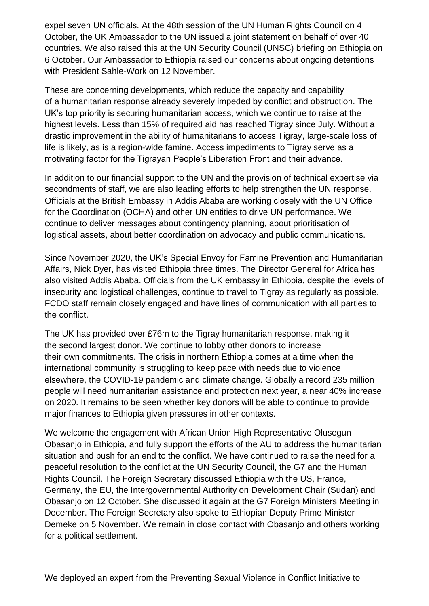expel seven UN officials. At the 48th session of the UN Human Rights Council on 4 October, the UK Ambassador to the UN issued a joint statement on behalf of over 40 countries. We also raised this at the UN Security Council (UNSC) briefing on Ethiopia on 6 October. Our Ambassador to Ethiopia raised our concerns about ongoing detentions with President Sahle-Work on 12 November.

These are concerning developments, which reduce the capacity and capability of a humanitarian response already severely impeded by conflict and obstruction. The UK's top priority is securing humanitarian access, which we continue to raise at the highest levels. Less than 15% of required aid has reached Tigray since July. Without a drastic improvement in the ability of humanitarians to access Tigray, large-scale loss of life is likely, as is a region-wide famine. Access impediments to Tigray serve as a motivating factor for the Tigrayan People's Liberation Front and their advance.

In addition to our financial support to the UN and the provision of technical expertise via secondments of staff, we are also leading efforts to help strengthen the UN response. Officials at the British Embassy in Addis Ababa are working closely with the UN Office for the Coordination (OCHA) and other UN entities to drive UN performance. We continue to deliver messages about contingency planning, about prioritisation of logistical assets, about better coordination on advocacy and public communications.

Since November 2020, the UK's Special Envoy for Famine Prevention and Humanitarian Affairs, Nick Dyer, has visited Ethiopia three times. The Director General for Africa has also visited Addis Ababa. Officials from the UK embassy in Ethiopia, despite the levels of insecurity and logistical challenges, continue to travel to Tigray as regularly as possible. FCDO staff remain closely engaged and have lines of communication with all parties to the conflict.

The UK has provided over £76m to the Tigray humanitarian response, making it the second largest donor. We continue to lobby other donors to increase their own commitments. The crisis in northern Ethiopia comes at a time when the international community is struggling to keep pace with needs due to violence elsewhere, the COVID-19 pandemic and climate change. Globally a record 235 million people will need humanitarian assistance and protection next year, a near 40% increase on 2020. It remains to be seen whether key donors will be able to continue to provide major finances to Ethiopia given pressures in other contexts.

We welcome the engagement with African Union High Representative Olusegun Obasanjo in Ethiopia, and fully support the efforts of the AU to address the humanitarian situation and push for an end to the conflict. We have continued to raise the need for a peaceful resolution to the conflict at the UN Security Council, the G7 and the Human Rights Council. The Foreign Secretary discussed Ethiopia with the US, France, Germany, the EU, the Intergovernmental Authority on Development Chair (Sudan) and Obasanjo on 12 October. She discussed it again at the G7 Foreign Ministers Meeting in December. The Foreign Secretary also spoke to Ethiopian Deputy Prime Minister Demeke on 5 November. We remain in close contact with Obasanjo and others working for a political settlement.